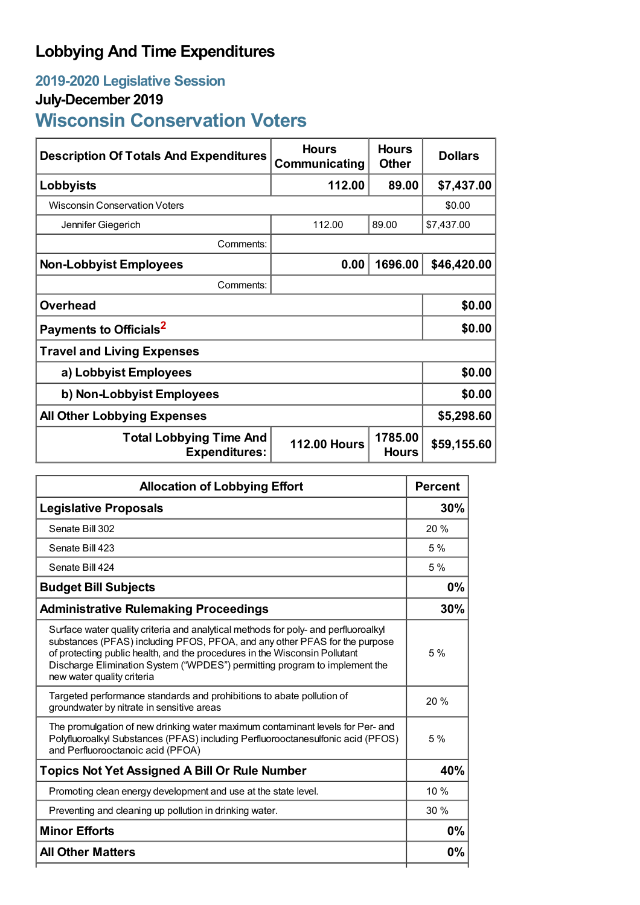# **Lobbying And Time Expenditures**

# **2019-2020 Legislative Session**

# **July-December 2019**

# **Wisconsin Conservation Voters**

| <b>Description Of Totals And Expenditures</b>          | <b>Hours</b><br>Communicating | <b>Hours</b><br><b>Other</b> | <b>Dollars</b> |
|--------------------------------------------------------|-------------------------------|------------------------------|----------------|
| Lobbyists                                              | 112.00                        | 89.00                        | \$7,437.00     |
| <b>Wisconsin Conservation Voters</b>                   |                               |                              | \$0.00         |
| Jennifer Giegerich                                     | 112.00                        | 89.00                        | \$7,437.00     |
| Comments:                                              |                               |                              |                |
| <b>Non-Lobbyist Employees</b>                          | 0.00                          | 1696.00                      | \$46,420.00    |
| Comments:                                              |                               |                              |                |
| <b>Overhead</b>                                        |                               |                              | \$0.00         |
| Payments to Officials <sup>2</sup>                     |                               |                              | \$0.00         |
| <b>Travel and Living Expenses</b>                      |                               |                              |                |
| a) Lobbyist Employees                                  |                               |                              | \$0.00         |
| b) Non-Lobbyist Employees                              | \$0.00                        |                              |                |
| <b>All Other Lobbying Expenses</b>                     |                               |                              | \$5,298.60     |
| <b>Total Lobbying Time And</b><br><b>Expenditures:</b> | <b>112.00 Hours</b>           | 1785.00<br><b>Hours</b>      | \$59,155.60    |

| <b>Allocation of Lobbying Effort</b>                                                                                                                                                                                                                                                                                                                       |      |
|------------------------------------------------------------------------------------------------------------------------------------------------------------------------------------------------------------------------------------------------------------------------------------------------------------------------------------------------------------|------|
| <b>Legislative Proposals</b>                                                                                                                                                                                                                                                                                                                               |      |
| Senate Bill 302                                                                                                                                                                                                                                                                                                                                            | 20%  |
| Senate Bill 423                                                                                                                                                                                                                                                                                                                                            | 5%   |
| Senate Bill 424                                                                                                                                                                                                                                                                                                                                            | 5%   |
| <b>Budget Bill Subjects</b>                                                                                                                                                                                                                                                                                                                                |      |
| <b>Administrative Rulemaking Proceedings</b>                                                                                                                                                                                                                                                                                                               | 30%  |
| Surface water quality criteria and analytical methods for poly- and perfluoroalkyl<br>substances (PFAS) including PFOS, PFOA, and any other PFAS for the purpose<br>of protecting public health, and the procedures in the Wisconsin Pollutant<br>Discharge Elimination System ("WPDES") permitting program to implement the<br>new water quality criteria |      |
| Targeted performance standards and prohibitions to abate pollution of<br>groundwater by nitrate in sensitive areas                                                                                                                                                                                                                                         | 20%  |
| The promulgation of new drinking water maximum contaminant levels for Per- and<br>Polyfluoroalkyl Substances (PFAS) including Perfluorooctanesulfonic acid (PFOS)<br>and Perfluorooctanoic acid (PFOA)                                                                                                                                                     | 5%   |
| <b>Topics Not Yet Assigned A Bill Or Rule Number</b>                                                                                                                                                                                                                                                                                                       |      |
| Promoting clean energy development and use at the state level.                                                                                                                                                                                                                                                                                             | 10 % |
| Preventing and cleaning up pollution in drinking water.                                                                                                                                                                                                                                                                                                    | 30 % |
| <b>Minor Efforts</b>                                                                                                                                                                                                                                                                                                                                       |      |
| <b>All Other Matters</b>                                                                                                                                                                                                                                                                                                                                   | 0%   |